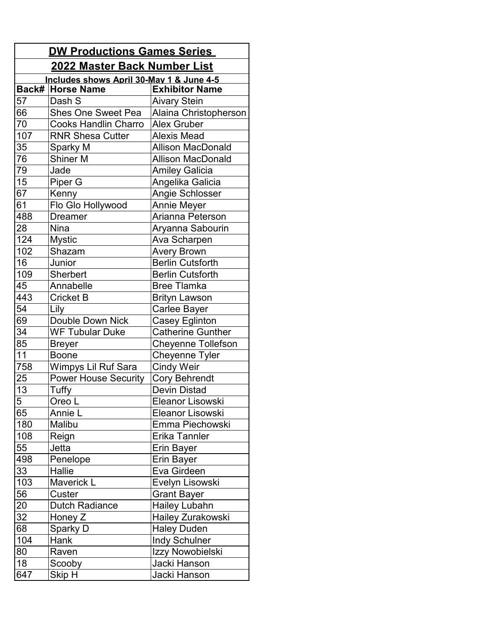| <b>DW Productions Games Series</b>       |                                      |                           |  |  |
|------------------------------------------|--------------------------------------|---------------------------|--|--|
|                                          | <u> 2022 Master Back Number List</u> |                           |  |  |
| Includes shows April 30-May 1 & June 4-5 |                                      |                           |  |  |
|                                          | Back# Horse Name                     | <b>Exhibitor Name</b>     |  |  |
| 57                                       | Dash S                               | <b>Aivary Stein</b>       |  |  |
| 66                                       | <b>Shes One Sweet Pea</b>            | Alaina Christopherson     |  |  |
| 70                                       | <b>Cooks Handlin Charro</b>          | <b>Alex Gruber</b>        |  |  |
| 107                                      | <b>RNR Shesa Cutter</b>              | <b>Alexis Mead</b>        |  |  |
| 35                                       | Sparky M                             | <b>Allison MacDonald</b>  |  |  |
| 76                                       | <b>Shiner M</b>                      | <b>Allison MacDonald</b>  |  |  |
| 79                                       | Jade                                 | <b>Amiley Galicia</b>     |  |  |
| 15                                       | Piper G                              | Angelika Galicia          |  |  |
| 67                                       | Kenny                                | Angie Schlosser           |  |  |
| 61                                       | Flo Glo Hollywood                    | <b>Annie Meyer</b>        |  |  |
| 488                                      | <b>Dreamer</b>                       | Arianna Peterson          |  |  |
| 28                                       | <b>Nina</b>                          | Aryanna Sabourin          |  |  |
| 124                                      | <b>Mystic</b>                        | Ava Scharpen              |  |  |
| 102                                      | Shazam                               | <b>Avery Brown</b>        |  |  |
| 16                                       | Junior                               | <b>Berlin Cutsforth</b>   |  |  |
| 109                                      | Sherbert                             | <b>Berlin Cutsforth</b>   |  |  |
| 45                                       | Annabelle                            | <b>Bree Tlamka</b>        |  |  |
| 443                                      | <b>Cricket B</b>                     | <b>Brityn Lawson</b>      |  |  |
| 54                                       | Lily                                 | Carlee Bayer              |  |  |
| 69                                       | Double Down Nick                     | <b>Casey Eglinton</b>     |  |  |
| 34                                       | <b>WF Tubular Duke</b>               | <b>Catherine Gunther</b>  |  |  |
| 85                                       | <b>Breyer</b>                        | <b>Cheyenne Tollefson</b> |  |  |
| 11                                       | <b>Boone</b>                         | Cheyenne Tyler            |  |  |
| 758                                      | Wimpys Lil Ruf Sara                  | <b>Cindy Weir</b>         |  |  |
| 25                                       | <b>Power House Security</b>          | <b>Cory Behrendt</b>      |  |  |
| 13                                       | Tuffy                                | <b>Devin Distad</b>       |  |  |
| 5                                        | Oreo L                               | Eleanor Lisowski          |  |  |
| 65                                       | Annie L                              | Eleanor Lisowski          |  |  |
| 180                                      | Malibu                               | Emma Piechowski           |  |  |
| 108                                      | Reign                                | Erika Tannler             |  |  |
| 55                                       | Jetta                                | <b>Erin Bayer</b>         |  |  |
| 498                                      | Penelope                             | <b>Erin Bayer</b>         |  |  |
| 33                                       | Hallie                               | Eva Girdeen               |  |  |
| 103                                      | <b>Maverick L</b>                    | Evelyn Lisowski           |  |  |
| 56                                       | Custer                               | Grant Bayer               |  |  |
| 20                                       | <b>Dutch Radiance</b>                | <b>Hailey Lubahn</b>      |  |  |
| 32                                       | Honey Z                              | Hailey Zurakowski         |  |  |
| 68                                       | Sparky D                             | <b>Haley Duden</b>        |  |  |
| 104                                      | Hank                                 | Indy Schulner             |  |  |
| 80                                       | Raven                                | Izzy Nowobielski          |  |  |
| 18                                       | Scooby                               | Jacki Hanson              |  |  |
| 647                                      | Skip H                               | Jacki Hanson              |  |  |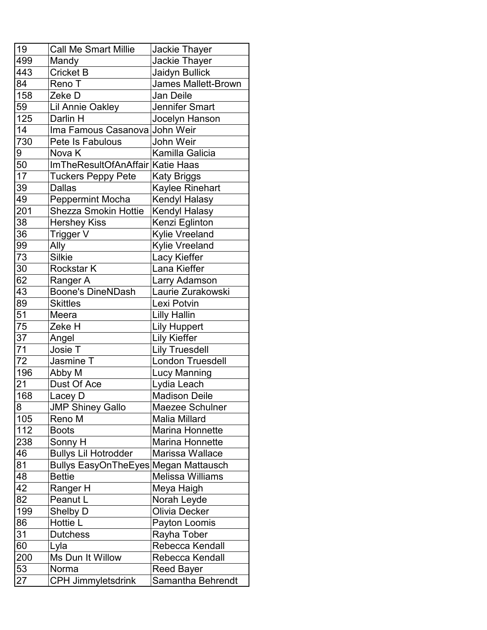| 19  | <b>Call Me Smart Millie</b>          | <b>Jackie Thayer</b>       |
|-----|--------------------------------------|----------------------------|
| 499 | Mandy                                | Jackie Thayer              |
| 443 | <b>Cricket B</b>                     | Jaidyn Bullick             |
| 84  | Reno T                               | <b>James Mallett-Brown</b> |
| 158 | Zeke D                               | Jan Deile                  |
| 59  | <b>Lil Annie Oakley</b>              | Jennifer Smart             |
| 125 | Darlin H                             | Jocelyn Hanson             |
| 14  | Ima Famous Casanova                  | John Weir                  |
| 730 | Pete Is Fabulous                     | John Weir                  |
| 9   | Nova K                               | Kamilla Galicia            |
| 50  | ImTheResultOfAnAffair Katie Haas     |                            |
| 17  | <b>Tuckers Peppy Pete</b>            | <b>Katy Briggs</b>         |
| 39  | Dallas                               | Kaylee Rinehart            |
| 49  | <b>Peppermint Mocha</b>              | Kendyl Halasy              |
| 201 | <b>Shezza Smokin Hottie</b>          | <b>Kendyl Halasy</b>       |
| 38  | <b>Hershey Kiss</b>                  | Kenzi Eglinton             |
| 36  | Trigger V                            | <b>Kylie Vreeland</b>      |
| 99  | Ally                                 | Kylie Vreeland             |
| 73  | <b>Silkie</b>                        | Lacy Kieffer               |
| 30  | <b>Rockstar K</b>                    | Lana Kieffer               |
| 62  | Ranger A                             | Larry Adamson              |
| 43  | <b>Boone's DineNDash</b>             | Laurie Zurakowski          |
| 89  | <b>Skittles</b>                      | Lexi Potvin                |
| 51  | Meera                                | <b>Lilly Hallin</b>        |
| 75  | Zeke H                               | <b>Lily Huppert</b>        |
| 37  | Angel                                | <b>Lily Kieffer</b>        |
| 71  | Josie T                              | <b>Lily Truesdell</b>      |
| 72  | Jasmine T                            | London Truesdell           |
| 196 | Abby M                               | <b>Lucy Manning</b>        |
| 21  | Dust Of Ace                          | Lydia Leach                |
| 168 | Lacey D                              | <b>Madison Deile</b>       |
| 8   | <b>JMP Shiney Gallo</b>              | Maezee Schulner            |
| 105 | Reno M                               | <b>Malia Millard</b>       |
| 112 | <b>Boots</b>                         | <b>Marina Honnette</b>     |
| 238 | Sonny H                              | <b>Marina Honnette</b>     |
| 46  | <b>Bullys Lil Hotrodder</b>          | Marissa Wallace            |
| 81  | Bullys EasyOnTheEyes Megan Mattausch |                            |
| 48  | <b>Bettie</b>                        | <b>Melissa Williams</b>    |
| 42  | Ranger H                             | Meya Haigh                 |
| 82  | Peanut L                             | Norah Leyde                |
| 199 | Shelby D                             | Olivia Decker              |
| 86  | Hottie L                             | Payton Loomis              |
| 31  | <b>Dutchess</b>                      | Rayha Tober                |
| 60  | Lyla                                 | Rebecca Kendall            |
| 200 | Ms Dun It Willow                     | Rebecca Kendall            |
| 53  | Norma                                | <b>Reed Bayer</b>          |
| 27  | <b>CPH Jimmyletsdrink</b>            | Samantha Behrendt          |